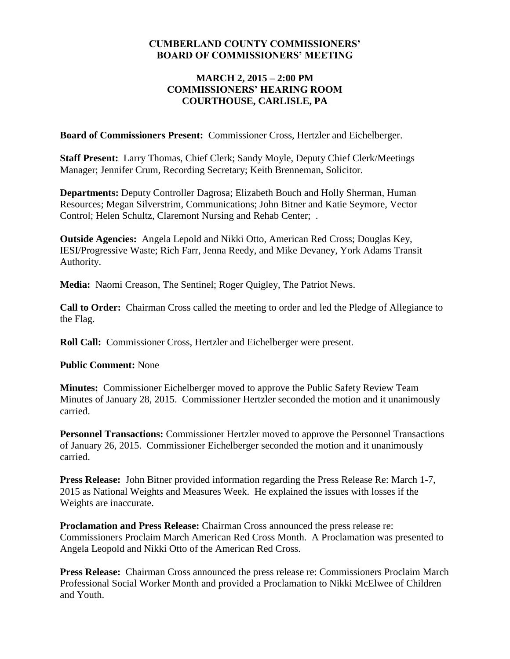## **CUMBERLAND COUNTY COMMISSIONERS' BOARD OF COMMISSIONERS' MEETING**

## **MARCH 2, 2015 – 2:00 PM COMMISSIONERS' HEARING ROOM COURTHOUSE, CARLISLE, PA**

**Board of Commissioners Present:** Commissioner Cross, Hertzler and Eichelberger.

**Staff Present:** Larry Thomas, Chief Clerk; Sandy Moyle, Deputy Chief Clerk/Meetings Manager; Jennifer Crum, Recording Secretary; Keith Brenneman, Solicitor.

**Departments:** Deputy Controller Dagrosa; Elizabeth Bouch and Holly Sherman, Human Resources; Megan Silverstrim, Communications; John Bitner and Katie Seymore, Vector Control; Helen Schultz, Claremont Nursing and Rehab Center; .

**Outside Agencies:** Angela Lepold and Nikki Otto, American Red Cross; Douglas Key, IESI/Progressive Waste; Rich Farr, Jenna Reedy, and Mike Devaney, York Adams Transit Authority.

**Media:** Naomi Creason, The Sentinel; Roger Quigley, The Patriot News.

**Call to Order:** Chairman Cross called the meeting to order and led the Pledge of Allegiance to the Flag.

**Roll Call:** Commissioner Cross, Hertzler and Eichelberger were present.

**Public Comment:** None

**Minutes:** Commissioner Eichelberger moved to approve the Public Safety Review Team Minutes of January 28, 2015. Commissioner Hertzler seconded the motion and it unanimously carried.

**Personnel Transactions:** Commissioner Hertzler moved to approve the Personnel Transactions of January 26, 2015. Commissioner Eichelberger seconded the motion and it unanimously carried.

**Press Release:** John Bitner provided information regarding the Press Release Re: March 1-7, 2015 as National Weights and Measures Week. He explained the issues with losses if the Weights are inaccurate.

**Proclamation and Press Release:** Chairman Cross announced the press release re: Commissioners Proclaim March American Red Cross Month. A Proclamation was presented to Angela Leopold and Nikki Otto of the American Red Cross.

**Press Release:** Chairman Cross announced the press release re: Commissioners Proclaim March Professional Social Worker Month and provided a Proclamation to Nikki McElwee of Children and Youth.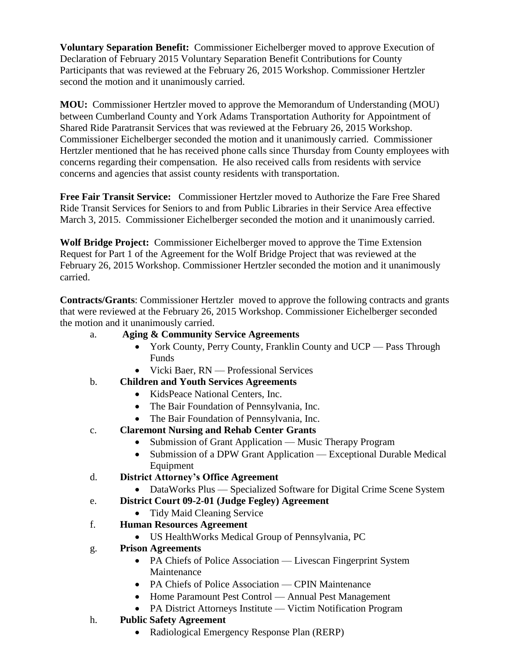**Voluntary Separation Benefit:** Commissioner Eichelberger moved to approve Execution of Declaration of February 2015 Voluntary Separation Benefit Contributions for County Participants that was reviewed at the February 26, 2015 Workshop. Commissioner Hertzler second the motion and it unanimously carried.

**MOU:** Commissioner Hertzler moved to approve the Memorandum of Understanding (MOU) between Cumberland County and York Adams Transportation Authority for Appointment of Shared Ride Paratransit Services that was reviewed at the February 26, 2015 Workshop. Commissioner Eichelberger seconded the motion and it unanimously carried. Commissioner Hertzler mentioned that he has received phone calls since Thursday from County employees with concerns regarding their compensation. He also received calls from residents with service concerns and agencies that assist county residents with transportation.

**Free Fair Transit Service:** Commissioner Hertzler moved to Authorize the Fare Free Shared Ride Transit Services for Seniors to and from Public Libraries in their Service Area effective March 3, 2015. Commissioner Eichelberger seconded the motion and it unanimously carried.

**Wolf Bridge Project:** Commissioner Eichelberger moved to approve the Time Extension Request for Part 1 of the Agreement for the Wolf Bridge Project that was reviewed at the February 26, 2015 Workshop. Commissioner Hertzler seconded the motion and it unanimously carried.

**Contracts/Grants**: Commissioner Hertzler moved to approve the following contracts and grants that were reviewed at the February 26, 2015 Workshop. Commissioner Eichelberger seconded the motion and it unanimously carried.

- a. **Aging & Community Service Agreements** 
	- York County, Perry County, Franklin County and UCP Pass Through Funds
	- Vicki Baer, RN Professional Services
- b. **Children and Youth Services Agreements**
	- KidsPeace National Centers, Inc.
	- The Bair Foundation of Pennsylvania, Inc.
	- The Bair Foundation of Pennsylvania, Inc.
- c. **Claremont Nursing and Rehab Center Grants**
	- Submission of Grant Application Music Therapy Program
	- Submission of a DPW Grant Application Exceptional Durable Medical Equipment
- d. **District Attorney's Office Agreement**
	- DataWorks Plus Specialized Software for Digital Crime Scene System
- e. **District Court 09-2-01 (Judge Fegley) Agreement**
	- Tidy Maid Cleaning Service
- f. **Human Resources Agreement** 
	- US HealthWorks Medical Group of Pennsylvania, PC
- g. **Prison Agreements**
	- PA Chiefs of Police Association Livescan Fingerprint System Maintenance
	- PA Chiefs of Police Association CPIN Maintenance
	- Home Paramount Pest Control Annual Pest Management
	- PA District Attorneys Institute Victim Notification Program
- h. **Public Safety Agreement**
	- Radiological Emergency Response Plan (RERP)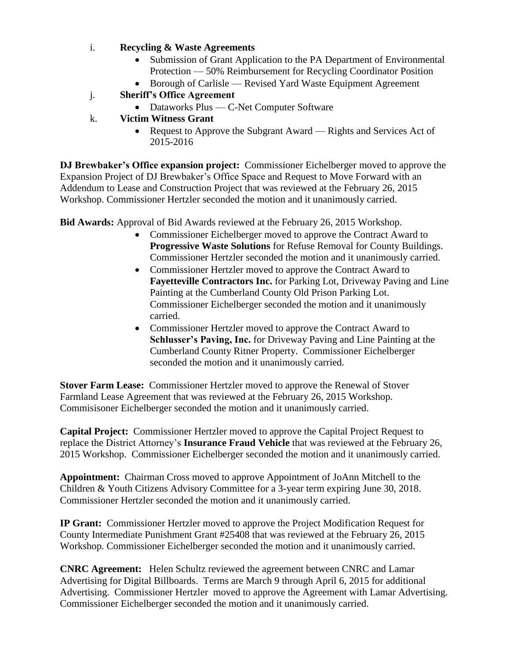## i. **Recycling & Waste Agreements**

- Submission of Grant Application to the PA Department of Environmental Protection — 50% Reimbursement for Recycling Coordinator Position
- Borough of Carlisle Revised Yard Waste Equipment Agreement
- j. **Sheriff's Office Agreement**
	- Dataworks Plus C-Net Computer Software
- k. **Victim Witness Grant**
	- Request to Approve the Subgrant Award Rights and Services Act of 2015-2016

**DJ Brewbaker's Office expansion project:** Commissioner Eichelberger moved to approve the Expansion Project of DJ Brewbaker's Office Space and Request to Move Forward with an Addendum to Lease and Construction Project that was reviewed at the February 26, 2015 Workshop. Commissioner Hertzler seconded the motion and it unanimously carried.

**Bid Awards:** Approval of Bid Awards reviewed at the February 26, 2015 Workshop.

- Commissioner Eichelberger moved to approve the Contract Award to **Progressive Waste Solutions** for Refuse Removal for County Buildings. Commissioner Hertzler seconded the motion and it unanimously carried.
- Commissioner Hertzler moved to approve the Contract Award to **Fayetteville Contractors Inc.** for Parking Lot, Driveway Paving and Line Painting at the Cumberland County Old Prison Parking Lot. Commissioner Eichelberger seconded the motion and it unanimously carried.
- Commissioner Hertzler moved to approve the Contract Award to **Schlusser's Paving, Inc.** for Driveway Paving and Line Painting at the Cumberland County Ritner Property. Commissioner Eichelberger seconded the motion and it unanimously carried.

**Stover Farm Lease:** Commissioner Hertzler moved to approve the Renewal of Stover Farmland Lease Agreement that was reviewed at the February 26, 2015 Workshop. Commisisoner Eichelberger seconded the motion and it unanimously carried.

**Capital Project:** Commissioner Hertzler moved to approve the Capital Project Request to replace the District Attorney's **Insurance Fraud Vehicle** that was reviewed at the February 26, 2015 Workshop. Commissioner Eichelberger seconded the motion and it unanimously carried.

**Appointment:** Chairman Cross moved to approve Appointment of JoAnn Mitchell to the Children & Youth Citizens Advisory Committee for a 3-year term expiring June 30, 2018. Commissioner Hertzler seconded the motion and it unanimously carried.

**IP Grant:** Commissioner Hertzler moved to approve the Project Modification Request for County Intermediate Punishment Grant #25408 that was reviewed at the February 26, 2015 Workshop. Commissioner Eichelberger seconded the motion and it unanimously carried.

**CNRC Agreement:** Helen Schultz reviewed the agreement between CNRC and Lamar Advertising for Digital Billboards. Terms are March 9 through April 6, 2015 for additional Advertising. Commissioner Hertzler moved to approve the Agreement with Lamar Advertising. Commissioner Eichelberger seconded the motion and it unanimously carried.